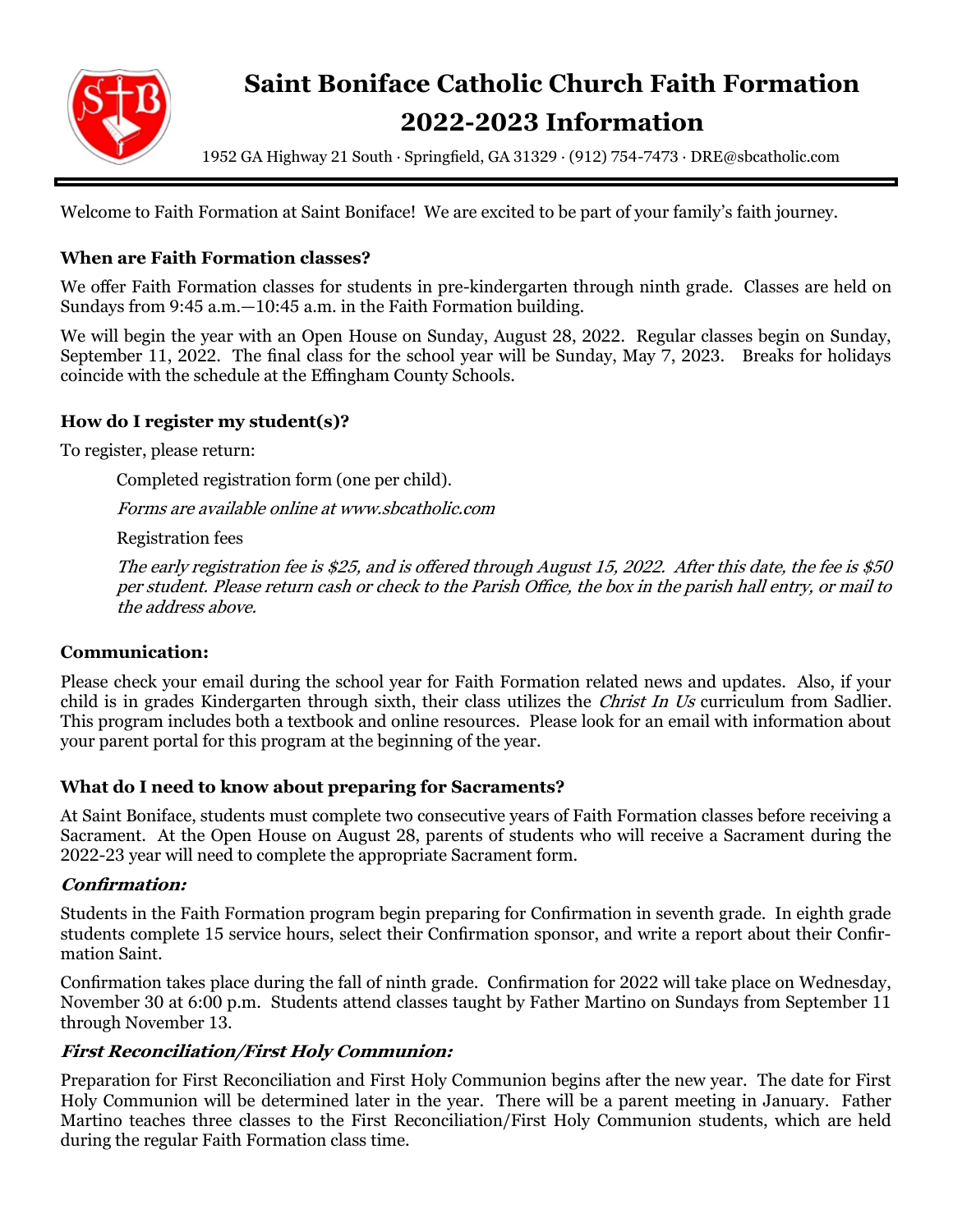

# **Saint Boniface Catholic Church Faith Formation 2022-2023 Information**

1952 GA Highway 21 South · Springfield, GA 31329 · (912) 754-7473 · DRE@sbcatholic.com

Welcome to Faith Formation at Saint Boniface! We are excited to be part of your family's faith journey.

## **When are Faith Formation classes?**

We offer Faith Formation classes for students in pre-kindergarten through ninth grade. Classes are held on Sundays from 9:45 a.m.—10:45 a.m. in the Faith Formation building.

We will begin the year with an Open House on Sunday, August 28, 2022. Regular classes begin on Sunday, September 11, 2022. The final class for the school year will be Sunday, May 7, 2023. Breaks for holidays coincide with the schedule at the Effingham County Schools.

## **How do I register my student(s)?**

To register, please return:

Completed registration form (one per child).

Forms are available online at www.sbcatholic.com

Registration fees

The early registration fee is \$25, and is offered through August 15, 2022. After this date, the fee is \$50 per student. Please return cash or check to the Parish Office, the box in the parish hall entry, or mail to the address above.

#### **Communication:**

Please check your email during the school year for Faith Formation related news and updates. Also, if your child is in grades Kindergarten through sixth, their class utilizes the *Christ In Us* curriculum from Sadlier. This program includes both a textbook and online resources. Please look for an email with information about your parent portal for this program at the beginning of the year.

## **What do I need to know about preparing for Sacraments?**

At Saint Boniface, students must complete two consecutive years of Faith Formation classes before receiving a Sacrament. At the Open House on August 28, parents of students who will receive a Sacrament during the 2022-23 year will need to complete the appropriate Sacrament form.

#### **Confirmation:**

Students in the Faith Formation program begin preparing for Confirmation in seventh grade. In eighth grade students complete 15 service hours, select their Confirmation sponsor, and write a report about their Confirmation Saint.

Confirmation takes place during the fall of ninth grade. Confirmation for 2022 will take place on Wednesday, November 30 at 6:00 p.m. Students attend classes taught by Father Martino on Sundays from September 11 through November 13.

#### **First Reconciliation/First Holy Communion:**

Preparation for First Reconciliation and First Holy Communion begins after the new year. The date for First Holy Communion will be determined later in the year. There will be a parent meeting in January. Father Martino teaches three classes to the First Reconciliation/First Holy Communion students, which are held during the regular Faith Formation class time.